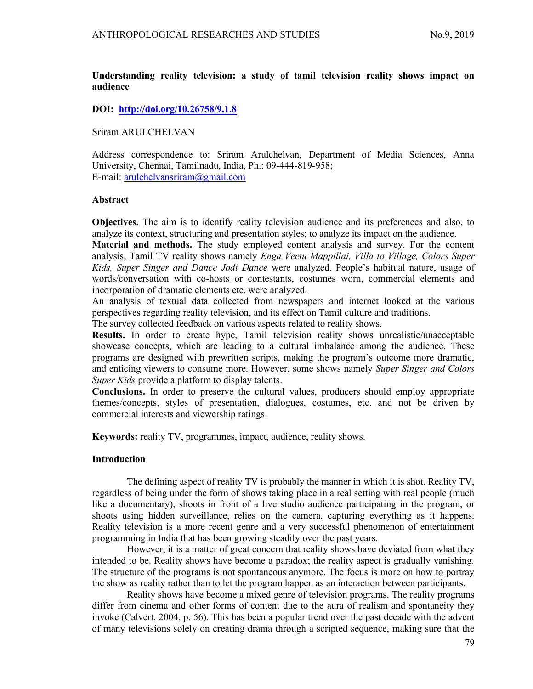## Understanding reality television: a study of tamil television reality shows impact on audience

### DOI: http://doi.org/10.26758/9.1.8

#### Sriram ARULCHELVAN

Address correspondence to: Sriram Arulchelvan, Department of Media Sciences, Anna University, Chennai, Tamilnadu, India, Ph.: 09-444-819-958; E-mail: arulchelvansriram@gmail.com

### Abstract

Objectives. The aim is to identify reality television audience and its preferences and also, to analyze its context, structuring and presentation styles; to analyze its impact on the audience.

Material and methods. The study employed content analysis and survey. For the content analysis, Tamil TV reality shows namely *Enga Veetu Mappillai, Villa to Village, Colors Super* Kids, Super Singer and Dance Jodi Dance were analyzed. People's habitual nature, usage of words/conversation with co-hosts or contestants, costumes worn, commercial elements and incorporation of dramatic elements etc. were analyzed.

An analysis of textual data collected from newspapers and internet looked at the various perspectives regarding reality television, and its effect on Tamil culture and traditions.

The survey collected feedback on various aspects related to reality shows.

Results. In order to create hype, Tamil television reality shows unrealistic/unacceptable showcase concepts, which are leading to a cultural imbalance among the audience. These programs are designed with prewritten scripts, making the program's outcome more dramatic, and enticing viewers to consume more. However, some shows namely *Super Singer and Colors* Super Kids provide a platform to display talents.

Conclusions. In order to preserve the cultural values, producers should employ appropriate themes/concepts, styles of presentation, dialogues, costumes, etc. and not be driven by commercial interests and viewership ratings.

Keywords: reality TV, programmes, impact, audience, reality shows.

## Introduction

The defining aspect of reality TV is probably the manner in which it is shot. Reality TV, regardless of being under the form of shows taking place in a real setting with real people (much like a documentary), shoots in front of a live studio audience participating in the program, or shoots using hidden surveillance, relies on the camera, capturing everything as it happens. Reality television is a more recent genre and a very successful phenomenon of entertainment programming in India that has been growing steadily over the past years.

However, it is a matter of great concern that reality shows have deviated from what they intended to be. Reality shows have become a paradox; the reality aspect is gradually vanishing. The structure of the programs is not spontaneous anymore. The focus is more on how to portray the show as reality rather than to let the program happen as an interaction between participants.

Reality shows have become a mixed genre of television programs. The reality programs differ from cinema and other forms of content due to the aura of realism and spontaneity they invoke (Calvert, 2004, p. 56). This has been a popular trend over the past decade with the advent of many televisions solely on creating drama through a scripted sequence, making sure that the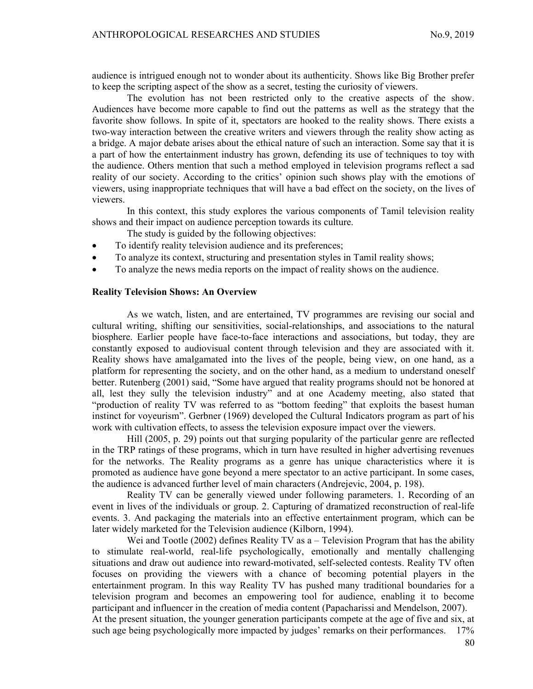audience is intrigued enough not to wonder about its authenticity. Shows like Big Brother prefer to keep the scripting aspect of the show as a secret, testing the curiosity of viewers.

The evolution has not been restricted only to the creative aspects of the show. Audiences have become more capable to find out the patterns as well as the strategy that the favorite show follows. In spite of it, spectators are hooked to the reality shows. There exists a two-way interaction between the creative writers and viewers through the reality show acting as a bridge. A major debate arises about the ethical nature of such an interaction. Some say that it is a part of how the entertainment industry has grown, defending its use of techniques to toy with the audience. Others mention that such a method employed in television programs reflect a sad reality of our society. According to the critics' opinion such shows play with the emotions of viewers, using inappropriate techniques that will have a bad effect on the society, on the lives of viewers.

In this context, this study explores the various components of Tamil television reality shows and their impact on audience perception towards its culture.

The study is guided by the following objectives:

- To identify reality television audience and its preferences;
- To analyze its context, structuring and presentation styles in Tamil reality shows;
- To analyze the news media reports on the impact of reality shows on the audience.

### Reality Television Shows: An Overview

As we watch, listen, and are entertained, TV programmes are revising our social and cultural writing, shifting our sensitivities, social-relationships, and associations to the natural biosphere. Earlier people have face-to-face interactions and associations, but today, they are constantly exposed to audiovisual content through television and they are associated with it. Reality shows have amalgamated into the lives of the people, being view, on one hand, as a platform for representing the society, and on the other hand, as a medium to understand oneself better. Rutenberg (2001) said, "Some have argued that reality programs should not be honored at all, lest they sully the television industry" and at one Academy meeting, also stated that "production of reality TV was referred to as "bottom feeding" that exploits the basest human instinct for voyeurism". Gerbner (1969) developed the Cultural Indicators program as part of his work with cultivation effects, to assess the television exposure impact over the viewers.

Hill (2005, p. 29) points out that surging popularity of the particular genre are reflected in the TRP ratings of these programs, which in turn have resulted in higher advertising revenues for the networks. The Reality programs as a genre has unique characteristics where it is promoted as audience have gone beyond a mere spectator to an active participant. In some cases, the audience is advanced further level of main characters (Andrejevic, 2004, p. 198).

Reality TV can be generally viewed under following parameters. 1. Recording of an event in lives of the individuals or group. 2. Capturing of dramatized reconstruction of real-life events. 3. And packaging the materials into an effective entertainment program, which can be later widely marketed for the Television audience (Kilborn, 1994).

Wei and Tootle (2002) defines Reality TV as a – Television Program that has the ability to stimulate real-world, real-life psychologically, emotionally and mentally challenging situations and draw out audience into reward-motivated, self-selected contests. Reality TV often focuses on providing the viewers with a chance of becoming potential players in the entertainment program. In this way Reality TV has pushed many traditional boundaries for a television program and becomes an empowering tool for audience, enabling it to become participant and influencer in the creation of media content (Papacharissi and Mendelson, 2007). At the present situation, the younger generation participants compete at the age of five and six, at such age being psychologically more impacted by judges' remarks on their performances. 17%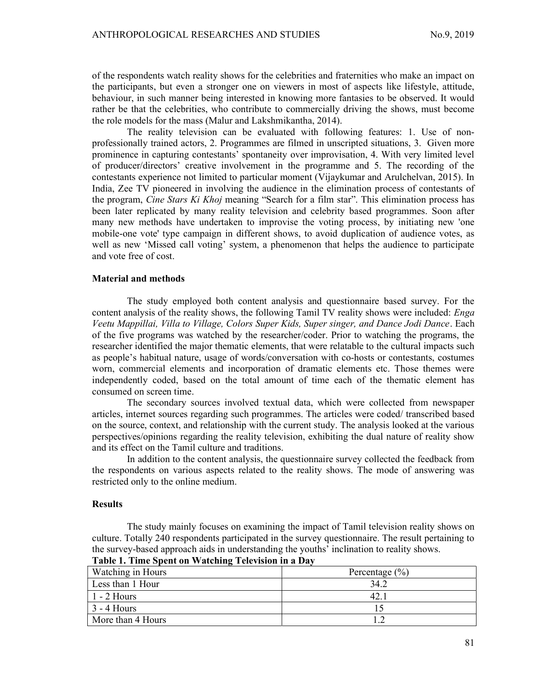of the respondents watch reality shows for the celebrities and fraternities who make an impact on the participants, but even a stronger one on viewers in most of aspects like lifestyle, attitude, behaviour, in such manner being interested in knowing more fantasies to be observed. It would rather be that the celebrities, who contribute to commercially driving the shows, must become the role models for the mass (Malur and Lakshmikantha, 2014).

The reality television can be evaluated with following features: 1. Use of nonprofessionally trained actors, 2. Programmes are filmed in unscripted situations, 3. Given more prominence in capturing contestants' spontaneity over improvisation, 4. With very limited level of producer/directors' creative involvement in the programme and 5. The recording of the contestants experience not limited to particular moment (Vijaykumar and Arulchelvan, 2015). In India, Zee TV pioneered in involving the audience in the elimination process of contestants of the program, *Cine Stars Ki Khoj* meaning "Search for a film star". This elimination process has been later replicated by many reality television and celebrity based programmes. Soon after many new methods have undertaken to improvise the voting process, by initiating new 'one mobile-one vote' type campaign in different shows, to avoid duplication of audience votes, as well as new 'Missed call voting' system, a phenomenon that helps the audience to participate and vote free of cost.

# Material and methods

The study employed both content analysis and questionnaire based survey. For the content analysis of the reality shows, the following Tamil TV reality shows were included: *Enga* Veetu Mappillai, Villa to Village, Colors Super Kids, Super singer, and Dance Jodi Dance. Each of the five programs was watched by the researcher/coder. Prior to watching the programs, the researcher identified the major thematic elements, that were relatable to the cultural impacts such as people's habitual nature, usage of words/conversation with co-hosts or contestants, costumes worn, commercial elements and incorporation of dramatic elements etc. Those themes were independently coded, based on the total amount of time each of the thematic element has consumed on screen time.

The secondary sources involved textual data, which were collected from newspaper articles, internet sources regarding such programmes. The articles were coded/ transcribed based on the source, context, and relationship with the current study. The analysis looked at the various perspectives/opinions regarding the reality television, exhibiting the dual nature of reality show and its effect on the Tamil culture and traditions.

In addition to the content analysis, the questionnaire survey collected the feedback from the respondents on various aspects related to the reality shows. The mode of answering was restricted only to the online medium.

### Results

The study mainly focuses on examining the impact of Tamil television reality shows on culture. Totally 240 respondents participated in the survey questionnaire. The result pertaining to the survey-based approach aids in understanding the youths' inclination to reality shows. Table 1. Time Spent on Watching Television in a Day

Watching in Hours Percentage (%) Less than 1 Hour 34.2  $1 - 2$  Hours 42.1

 $3 - 4$  Hours 15 More than 4 Hours 1.2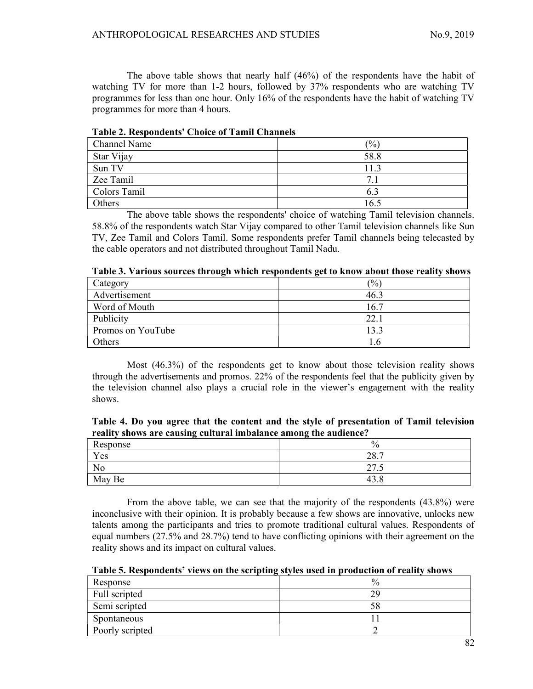The above table shows that nearly half (46%) of the respondents have the habit of watching TV for more than 1-2 hours, followed by 37% respondents who are watching TV programmes for less than one hour. Only 16% of the respondents have the habit of watching TV programmes for more than 4 hours.

| Channel Name | $\frac{1}{2}$ |
|--------------|---------------|
| Star Vijay   | 58.8          |
| Sun TV       |               |
| Zee Tamil    |               |
| Colors Tamil | 6.3           |
| Others       | 6.5           |

Table 2. Respondents' Choice of Tamil Channels

The above table shows the respondents' choice of watching Tamil television channels. 58.8% of the respondents watch Star Vijay compared to other Tamil television channels like Sun TV, Zee Tamil and Colors Tamil. Some respondents prefer Tamil channels being telecasted by the cable operators and not distributed throughout Tamil Nadu.

|                   | THEN C. THERMS SOUTCOS THE ORGER WHICH ECOPORIGINS GOVERNMENT HOUSE FORMS SHOWS |
|-------------------|---------------------------------------------------------------------------------|
| Category          | $\frac{1}{2}$                                                                   |
| Advertisement     | 46.3                                                                            |
| Word of Mouth     | 16.7                                                                            |
| Publicity         | 22.1                                                                            |
| Promos on YouTube | 13.3                                                                            |
| Others            | $\cdot$ .                                                                       |

Table 3. Various sources through which respondents get to know about those reality shows

Most (46.3%) of the respondents get to know about those television reality shows through the advertisements and promos. 22% of the respondents feel that the publicity given by the television channel also plays a crucial role in the viewer's engagement with the reality shows.

Table 4. Do you agree that the content and the style of presentation of Tamil television reality shows are causing cultural imbalance among the audience?

| Response       | 0<br>′0      |
|----------------|--------------|
| Yes            | 207          |
| N <sub>o</sub> | ^ ~<br>ن ريے |
| May Be         | 79.U         |

From the above table, we can see that the majority of the respondents (43.8%) were inconclusive with their opinion. It is probably because a few shows are innovative, unlocks new talents among the participants and tries to promote traditional cultural values. Respondents of equal numbers (27.5% and 28.7%) tend to have conflicting opinions with their agreement on the reality shows and its impact on cultural values.

| Table 5. Respondents' views on the scripting styles used in production of reality shows |  |  |
|-----------------------------------------------------------------------------------------|--|--|
|-----------------------------------------------------------------------------------------|--|--|

| Response        | $\frac{0}{0}$ |
|-----------------|---------------|
| Full scripted   |               |
| Semi scripted   |               |
| Spontaneous     |               |
| Poorly scripted |               |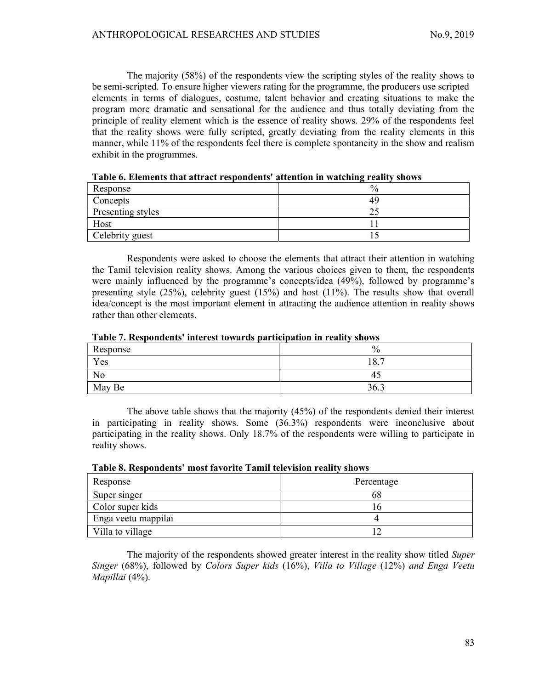The majority (58%) of the respondents view the scripting styles of the reality shows to be semi-scripted. To ensure higher viewers rating for the programme, the producers use scripted elements in terms of dialogues, costume, talent behavior and creating situations to make the program more dramatic and sensational for the audience and thus totally deviating from the principle of reality element which is the essence of reality shows. 29% of the respondents feel that the reality shows were fully scripted, greatly deviating from the reality elements in this manner, while 11% of the respondents feel there is complete spontaneity in the show and realism exhibit in the programmes.

| Response          | $\frac{0}{0}$ |
|-------------------|---------------|
| Concepts          | 49            |
| Presenting styles |               |
| Host              |               |
| Celebrity guest   |               |

Table 6. Elements that attract respondents' attention in watching reality shows

Respondents were asked to choose the elements that attract their attention in watching the Tamil television reality shows. Among the various choices given to them, the respondents were mainly influenced by the programme's concepts/idea (49%), followed by programme's presenting style (25%), celebrity guest (15%) and host (11%). The results show that overall idea/concept is the most important element in attracting the audience attention in reality shows rather than other elements.

|          | $- - - -$             |
|----------|-----------------------|
| Response | $\frac{0}{0}$         |
| Yes      | O <sub>7</sub><br>10. |
| No       | 45                    |
| May Be   | 36.3                  |

Table 7. Respondents' interest towards participation in reality shows

The above table shows that the majority (45%) of the respondents denied their interest in participating in reality shows. Some (36.3%) respondents were inconclusive about participating in the reality shows. Only 18.7% of the respondents were willing to participate in reality shows.

|  | Table 8. Respondents' most favorite Tamil television reality shows |  |
|--|--------------------------------------------------------------------|--|
|  |                                                                    |  |

| Response            | Percentage |
|---------------------|------------|
| Super singer        | bč         |
| Color super kids    |            |
| Enga veetu mappilai |            |
| Villa to village    |            |

The majority of the respondents showed greater interest in the reality show titled Super Singer (68%), followed by Colors Super kids (16%), Villa to Village (12%) and Enga Veetu Mapillai (4%).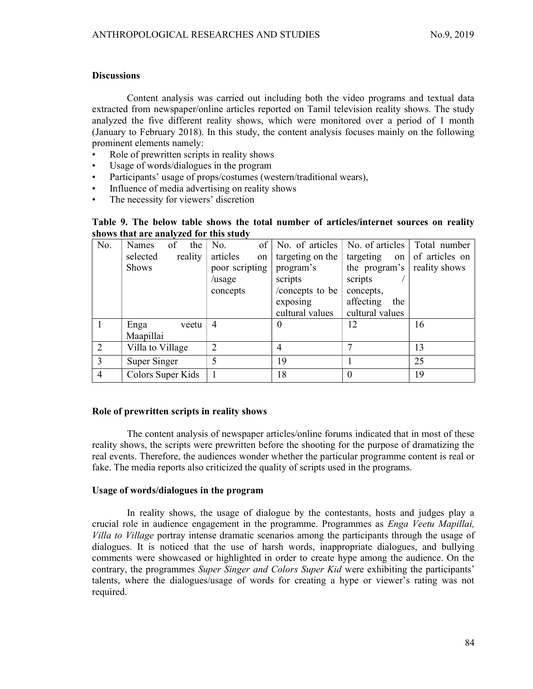## **Discussions**

Content analysis was carried out including both the video programs and textual data extracted from newspaper/online articles reported on Tamil television reality shows. The study analyzed the five different reality shows, which were monitored over a period of 1 month (January to February 2018). In this study, the content analysis focuses mainly on the following prominent elements namely:

- Role of prewritten scripts in reality shows
- Usage of words/dialogues in the program
- Participants' usage of props/costumes (western/traditional wears).
- Influence of media advertising on reality shows
- The necessity for viewers' discretion

# Table 9. The below table shows the total number of articles/internet sources on reality shows that are analyzed for this study

| No. | of<br>Names<br>the  | No.            | of   No. of articles | No. of articles  | Total number   |
|-----|---------------------|----------------|----------------------|------------------|----------------|
|     | selected<br>reality | articles<br>on | targeting on the     | targeting on     | of articles on |
|     | <b>Shows</b>        | poor scripting | program's            | the program's    | reality shows  |
|     |                     | $\sqrt{$ usage | scripts              | scripts          |                |
|     |                     | concepts       | /concepts to be      | concepts,        |                |
|     |                     |                | exposing             | affecting<br>the |                |
|     |                     |                | cultural values      | cultural values  |                |
|     | Enga<br>veetu       | $\overline{4}$ | $\theta$             | 12               | 16             |
|     | Maapillai           |                |                      |                  |                |
| 2   | Villa to Village    | $\overline{2}$ | 4                    |                  | 13             |
| 3   | Super Singer        | 5              | 19                   |                  | 25             |
| 4   | Colors Super Kids   |                | 18                   | $\theta$         | 19             |

## Role of prewritten scripts in reality shows

The content analysis of newspaper articles/online forums indicated that in most of these reality shows, the scripts were prewritten before the shooting for the purpose of dramatizing the real events. Therefore, the audiences wonder whether the particular programme content is real or fake. The media reports also criticized the quality of scripts used in the programs.

## Usage of words/dialogues in the program

In reality shows, the usage of dialogue by the contestants, hosts and judges play a crucial role in audience engagement in the programme. Programmes as *Enga Veetu Mapillai*, Villa to Village portray intense dramatic scenarios among the participants through the usage of dialogues. It is noticed that the use of harsh words, inappropriate dialogues, and bullying comments were showcased or highlighted in order to create hype among the audience. On the contrary, the programmes Super Singer and Colors Super Kid were exhibiting the participants' talents, where the dialogues/usage of words for creating a hype or viewer's rating was not required.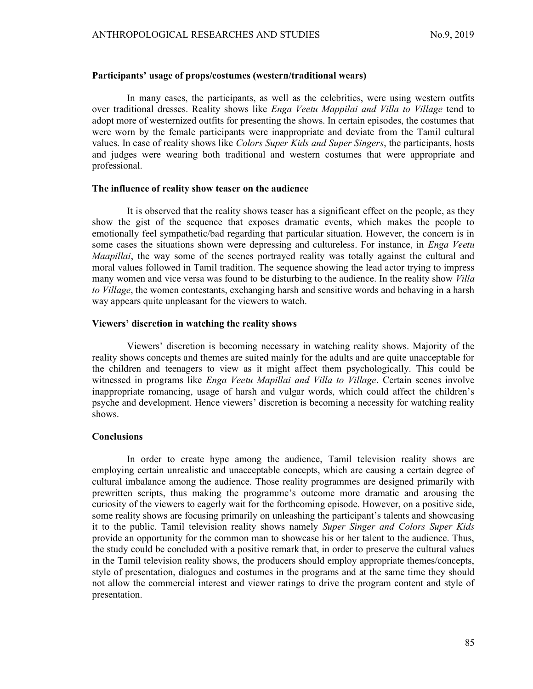#### Participants' usage of props/costumes (western/traditional wears)

In many cases, the participants, as well as the celebrities, were using western outfits over traditional dresses. Reality shows like *Enga Veetu Mappilai and Villa to Village* tend to adopt more of westernized outfits for presenting the shows. In certain episodes, the costumes that were worn by the female participants were inappropriate and deviate from the Tamil cultural values. In case of reality shows like Colors Super Kids and Super Singers, the participants, hosts and judges were wearing both traditional and western costumes that were appropriate and professional.

### The influence of reality show teaser on the audience

It is observed that the reality shows teaser has a significant effect on the people, as they show the gist of the sequence that exposes dramatic events, which makes the people to emotionally feel sympathetic/bad regarding that particular situation. However, the concern is in some cases the situations shown were depressing and cultureless. For instance, in *Enga Veetu* Maapillai, the way some of the scenes portrayed reality was totally against the cultural and moral values followed in Tamil tradition. The sequence showing the lead actor trying to impress many women and vice versa was found to be disturbing to the audience. In the reality show Villa to Village, the women contestants, exchanging harsh and sensitive words and behaving in a harsh way appears quite unpleasant for the viewers to watch.

### Viewers' discretion in watching the reality shows

Viewers' discretion is becoming necessary in watching reality shows. Majority of the reality shows concepts and themes are suited mainly for the adults and are quite unacceptable for the children and teenagers to view as it might affect them psychologically. This could be witnessed in programs like *Enga Veetu Mapillai and Villa to Village*. Certain scenes involve inappropriate romancing, usage of harsh and vulgar words, which could affect the children's psyche and development. Hence viewers' discretion is becoming a necessity for watching reality shows.

#### **Conclusions**

In order to create hype among the audience, Tamil television reality shows are employing certain unrealistic and unacceptable concepts, which are causing a certain degree of cultural imbalance among the audience. Those reality programmes are designed primarily with prewritten scripts, thus making the programme's outcome more dramatic and arousing the curiosity of the viewers to eagerly wait for the forthcoming episode. However, on a positive side, some reality shows are focusing primarily on unleashing the participant's talents and showcasing it to the public. Tamil television reality shows namely Super Singer and Colors Super Kids provide an opportunity for the common man to showcase his or her talent to the audience. Thus, the study could be concluded with a positive remark that, in order to preserve the cultural values in the Tamil television reality shows, the producers should employ appropriate themes/concepts, style of presentation, dialogues and costumes in the programs and at the same time they should not allow the commercial interest and viewer ratings to drive the program content and style of presentation.